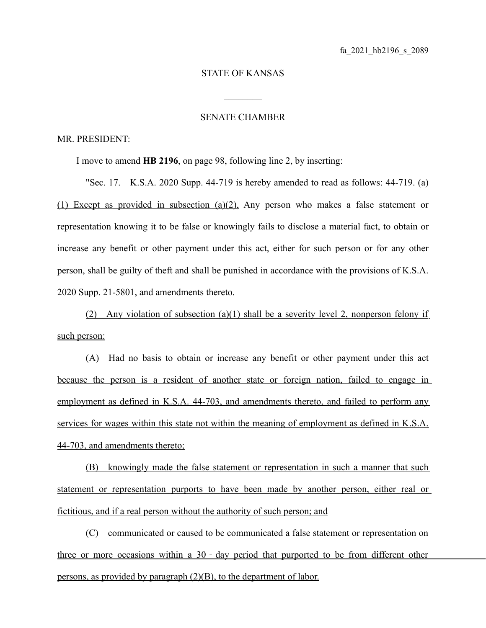## STATE OF KANSAS

 $\mathcal{L}_\text{max}$ 

## SENATE CHAMBER

## MR. PRESIDENT:

I move to amend **HB 2196**, on page 98, following line 2, by inserting:

"Sec. 17. K.S.A. 2020 Supp. 44-719 is hereby amended to read as follows: 44-719. (a) (1) Except as provided in subsection (a)(2), Any person who makes a false statement or representation knowing it to be false or knowingly fails to disclose a material fact, to obtain or increase any benefit or other payment under this act, either for such person or for any other person, shall be guilty of theft and shall be punished in accordance with the provisions of K.S.A. 2020 Supp. 21-5801, and amendments thereto.

(2) Any violation of subsection (a)(1) shall be a severity level 2, nonperson felony if such person:

(A) Had no basis to obtain or increase any benefit or other payment under this act because the person is a resident of another state or foreign nation, failed to engage in employment as defined in K.S.A. 44-703, and amendments thereto, and failed to perform any services for wages within this state not within the meaning of employment as defined in K.S.A. 44-703, and amendments thereto;

(B) knowingly made the false statement or representation in such a manner that such statement or representation purports to have been made by another person, either real or fictitious, and if a real person without the authority of such person; and

(C) communicated or caused to be communicated a false statement or representation on three or more occasions within a  $30 - day$  period that purported to be from different other persons, as provided by paragraph (2)(B), to the department of labor.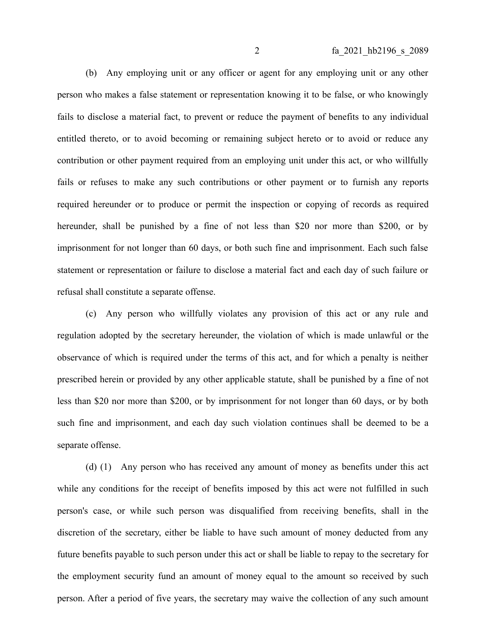(b) Any employing unit or any officer or agent for any employing unit or any other person who makes a false statement or representation knowing it to be false, or who knowingly fails to disclose a material fact, to prevent or reduce the payment of benefits to any individual entitled thereto, or to avoid becoming or remaining subject hereto or to avoid or reduce any contribution or other payment required from an employing unit under this act, or who willfully fails or refuses to make any such contributions or other payment or to furnish any reports required hereunder or to produce or permit the inspection or copying of records as required hereunder, shall be punished by a fine of not less than \$20 nor more than \$200, or by imprisonment for not longer than 60 days, or both such fine and imprisonment. Each such false statement or representation or failure to disclose a material fact and each day of such failure or refusal shall constitute a separate offense.

(c) Any person who willfully violates any provision of this act or any rule and regulation adopted by the secretary hereunder, the violation of which is made unlawful or the observance of which is required under the terms of this act, and for which a penalty is neither prescribed herein or provided by any other applicable statute, shall be punished by a fine of not less than \$20 nor more than \$200, or by imprisonment for not longer than 60 days, or by both such fine and imprisonment, and each day such violation continues shall be deemed to be a separate offense.

(d) (1) Any person who has received any amount of money as benefits under this act while any conditions for the receipt of benefits imposed by this act were not fulfilled in such person's case, or while such person was disqualified from receiving benefits, shall in the discretion of the secretary, either be liable to have such amount of money deducted from any future benefits payable to such person under this act or shall be liable to repay to the secretary for the employment security fund an amount of money equal to the amount so received by such person. After a period of five years, the secretary may waive the collection of any such amount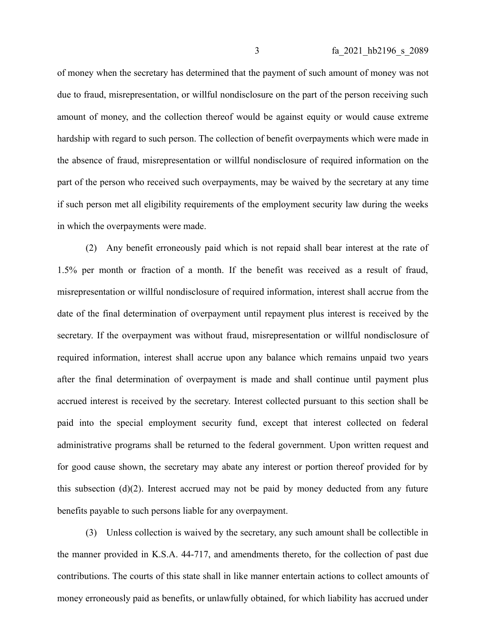of money when the secretary has determined that the payment of such amount of money was not due to fraud, misrepresentation, or willful nondisclosure on the part of the person receiving such amount of money, and the collection thereof would be against equity or would cause extreme hardship with regard to such person. The collection of benefit overpayments which were made in the absence of fraud, misrepresentation or willful nondisclosure of required information on the part of the person who received such overpayments, may be waived by the secretary at any time if such person met all eligibility requirements of the employment security law during the weeks in which the overpayments were made.

(2) Any benefit erroneously paid which is not repaid shall bear interest at the rate of 1.5% per month or fraction of a month. If the benefit was received as a result of fraud, misrepresentation or willful nondisclosure of required information, interest shall accrue from the date of the final determination of overpayment until repayment plus interest is received by the secretary. If the overpayment was without fraud, misrepresentation or willful nondisclosure of required information, interest shall accrue upon any balance which remains unpaid two years after the final determination of overpayment is made and shall continue until payment plus accrued interest is received by the secretary. Interest collected pursuant to this section shall be paid into the special employment security fund, except that interest collected on federal administrative programs shall be returned to the federal government. Upon written request and for good cause shown, the secretary may abate any interest or portion thereof provided for by this subsection (d)(2). Interest accrued may not be paid by money deducted from any future benefits payable to such persons liable for any overpayment.

(3) Unless collection is waived by the secretary, any such amount shall be collectible in the manner provided in K.S.A. 44-717, and amendments thereto, for the collection of past due contributions. The courts of this state shall in like manner entertain actions to collect amounts of money erroneously paid as benefits, or unlawfully obtained, for which liability has accrued under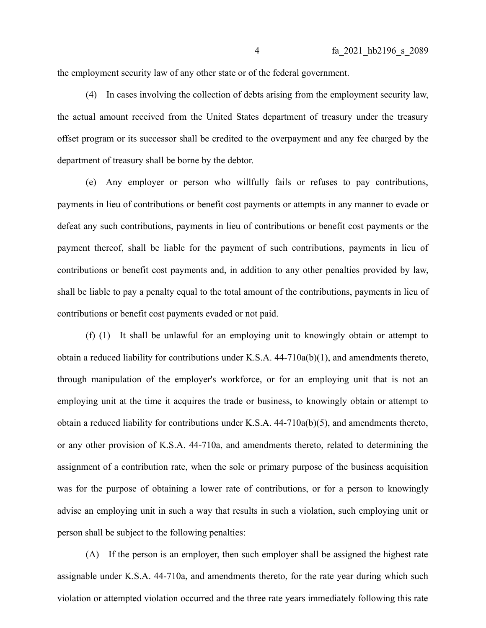the employment security law of any other state or of the federal government.

(4) In cases involving the collection of debts arising from the employment security law, the actual amount received from the United States department of treasury under the treasury offset program or its successor shall be credited to the overpayment and any fee charged by the department of treasury shall be borne by the debtor.

(e) Any employer or person who willfully fails or refuses to pay contributions, payments in lieu of contributions or benefit cost payments or attempts in any manner to evade or defeat any such contributions, payments in lieu of contributions or benefit cost payments or the payment thereof, shall be liable for the payment of such contributions, payments in lieu of contributions or benefit cost payments and, in addition to any other penalties provided by law, shall be liable to pay a penalty equal to the total amount of the contributions, payments in lieu of contributions or benefit cost payments evaded or not paid.

(f) (1) It shall be unlawful for an employing unit to knowingly obtain or attempt to obtain a reduced liability for contributions under K.S.A. 44-710a(b)(1), and amendments thereto, through manipulation of the employer's workforce, or for an employing unit that is not an employing unit at the time it acquires the trade or business, to knowingly obtain or attempt to obtain a reduced liability for contributions under K.S.A. 44-710a(b)(5), and amendments thereto, or any other provision of K.S.A. 44-710a, and amendments thereto, related to determining the assignment of a contribution rate, when the sole or primary purpose of the business acquisition was for the purpose of obtaining a lower rate of contributions, or for a person to knowingly advise an employing unit in such a way that results in such a violation, such employing unit or person shall be subject to the following penalties:

(A) If the person is an employer, then such employer shall be assigned the highest rate assignable under K.S.A. 44-710a, and amendments thereto, for the rate year during which such violation or attempted violation occurred and the three rate years immediately following this rate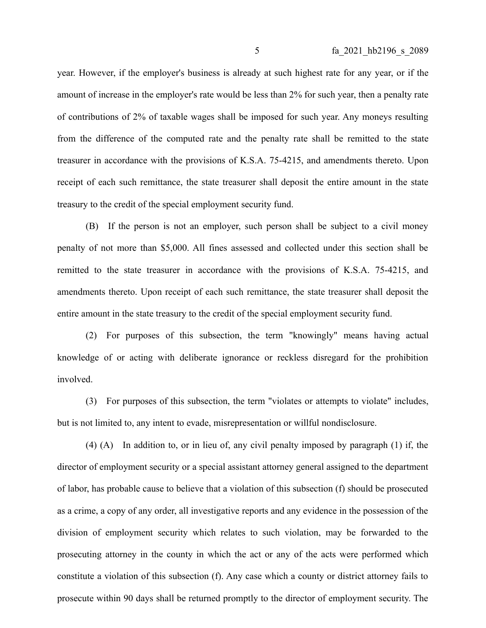year. However, if the employer's business is already at such highest rate for any year, or if the amount of increase in the employer's rate would be less than 2% for such year, then a penalty rate of contributions of 2% of taxable wages shall be imposed for such year. Any moneys resulting from the difference of the computed rate and the penalty rate shall be remitted to the state treasurer in accordance with the provisions of K.S.A. 75-4215, and amendments thereto. Upon receipt of each such remittance, the state treasurer shall deposit the entire amount in the state treasury to the credit of the special employment security fund.

(B) If the person is not an employer, such person shall be subject to a civil money penalty of not more than \$5,000. All fines assessed and collected under this section shall be remitted to the state treasurer in accordance with the provisions of K.S.A. 75-4215, and amendments thereto. Upon receipt of each such remittance, the state treasurer shall deposit the entire amount in the state treasury to the credit of the special employment security fund.

(2) For purposes of this subsection, the term "knowingly" means having actual knowledge of or acting with deliberate ignorance or reckless disregard for the prohibition involved.

(3) For purposes of this subsection, the term "violates or attempts to violate" includes, but is not limited to, any intent to evade, misrepresentation or willful nondisclosure.

(4) (A) In addition to, or in lieu of, any civil penalty imposed by paragraph (1) if, the director of employment security or a special assistant attorney general assigned to the department of labor, has probable cause to believe that a violation of this subsection (f) should be prosecuted as a crime, a copy of any order, all investigative reports and any evidence in the possession of the division of employment security which relates to such violation, may be forwarded to the prosecuting attorney in the county in which the act or any of the acts were performed which constitute a violation of this subsection (f). Any case which a county or district attorney fails to prosecute within 90 days shall be returned promptly to the director of employment security. The